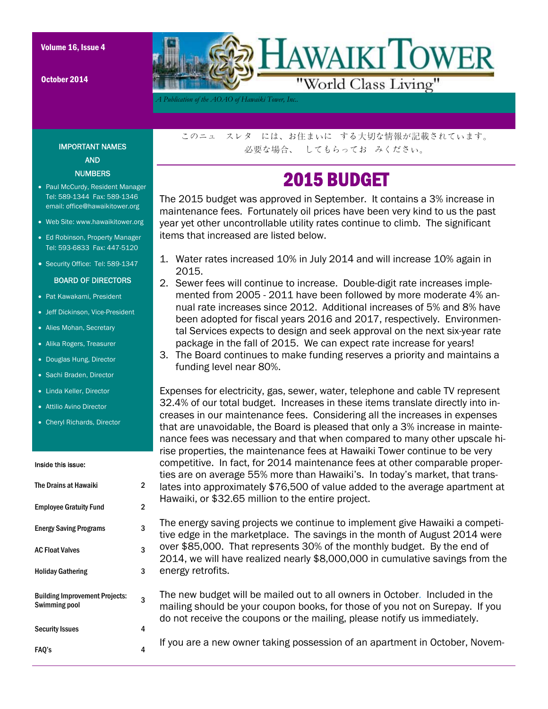October 2014



*A Publication of the AOAO of Hawaiki Tower, Inc..* 

### IMPORTANT NAMES AND **NUMBERS**

- Paul McCurdy, Resident Manager Tel: 589-1344 Fax: 589-1346 email: office@hawaikitower.org
- Web Site: www.hawaikitower.org
- Ed Robinson, Property Manager Tel: 593-6833 Fax: 447-5120
- Security Office: Tel: 589-1347

#### BOARD OF DIRECTORS

- Pat Kawakami, President
- Jeff Dickinson, Vice-President
- Alies Mohan, Secretary
- Alika Rogers, Treasurer
- Douglas Hung, Director
- Sachi Braden, Director
- Linda Keller, Director
- Attilio Avino Director
- Cheryl Richards, Director

#### Inside this issue:

| The Drains at Hawaiki                                  | 2 |
|--------------------------------------------------------|---|
| <b>Employee Gratuity Fund</b>                          | 2 |
| <b>Energy Saving Programs</b>                          | 3 |
| <b>AC Float Valves</b>                                 | 3 |
| <b>Holiday Gathering</b>                               | 3 |
| <b>Building Improvement Projects:</b><br>Swimming pool | 3 |
| <b>Security Issues</b>                                 | 4 |
| FAO's                                                  | 4 |

このニュ スレタ には、お住まいに する大切な情報が記載されています。 必要な場合、 してもらってお みください。

## 2015 BUDGET

The 2015 budget was approved in September. It contains a 3% increase in maintenance fees. Fortunately oil prices have been very kind to us the past year yet other uncontrollable utility rates continue to climb. The significant items that increased are listed below.

- 1. Water rates increased 10% in July 2014 and will increase 10% again in 2015.
- 2. Sewer fees will continue to increase. Double-digit rate increases implemented from 2005 - 2011 have been followed by more moderate 4% annual rate increases since 2012. Additional increases of 5% and 8% have been adopted for fiscal years 2016 and 2017, respectively. Environmental Services expects to design and seek approval on the next six-year rate package in the fall of 2015. We can expect rate increase for years!
- 3. The Board continues to make funding reserves a priority and maintains a funding level near 80%.

Expenses for electricity, gas, sewer, water, telephone and cable TV represent 32.4% of our total budget. Increases in these items translate directly into increases in our maintenance fees. Considering all the increases in expenses that are unavoidable, the Board is pleased that only a 3% increase in maintenance fees was necessary and that when compared to many other upscale hirise properties, the maintenance fees at Hawaiki Tower continue to be very competitive. In fact, for 2014 maintenance fees at other comparable properties are on average 55% more than Hawaiki's. In today's market, that translates into approximately \$76,500 of value added to the average apartment at Hawaiki, or \$32.65 million to the entire project.

The energy saving projects we continue to implement give Hawaiki a competitive edge in the marketplace. The savings in the month of August 2014 were over \$85,000. That represents 30% of the monthly budget. By the end of 2014, we will have realized nearly \$8,000,000 in cumulative savings from the energy retrofits.

The new budget will be mailed out to all owners in October. Included in the mailing should be your coupon books, for those of you not on Surepay. If you do not receive the coupons or the mailing, please notify us immediately.

If you are a new owner taking possession of an apartment in October, Novem-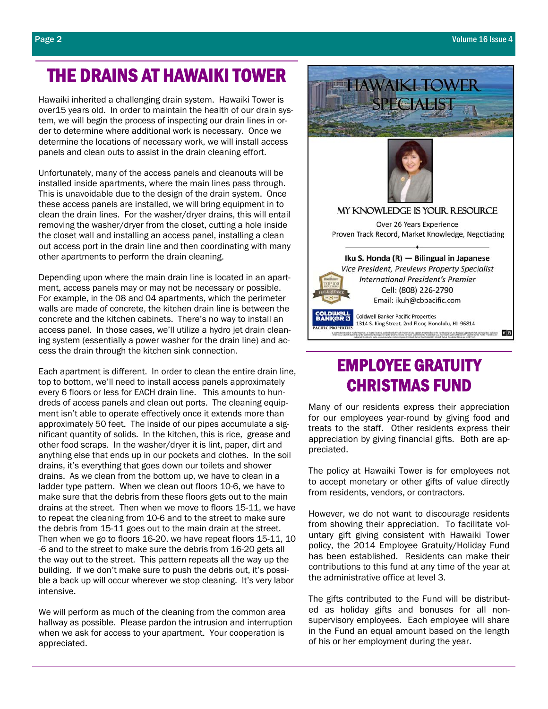# THE DRAINS AT HAWAIKI TOWER

Hawaiki inherited a challenging drain system. Hawaiki Tower is over15 years old. In order to maintain the health of our drain system, we will begin the process of inspecting our drain lines in order to determine where additional work is necessary. Once we determine the locations of necessary work, we will install access panels and clean outs to assist in the drain cleaning effort.

Unfortunately, many of the access panels and cleanouts will be installed inside apartments, where the main lines pass through. This is unavoidable due to the design of the drain system. Once these access panels are installed, we will bring equipment in to clean the drain lines. For the washer/dryer drains, this will entail removing the washer/dryer from the closet, cutting a hole inside the closet wall and installing an access panel, installing a clean out access port in the drain line and then coordinating with many other apartments to perform the drain cleaning.

Depending upon where the main drain line is located in an apartment, access panels may or may not be necessary or possible. For example, in the 08 and 04 apartments, which the perimeter walls are made of concrete, the kitchen drain line is between the concrete and the kitchen cabinets. There's no way to install an access panel. In those cases, we'll utilize a hydro jet drain cleaning system (essentially a power washer for the drain line) and access the drain through the kitchen sink connection.

Each apartment is different. In order to clean the entire drain line, top to bottom, we'll need to install access panels approximately every 6 floors or less for EACH drain line. This amounts to hundreds of access panels and clean out ports. The cleaning equipment isn't able to operate effectively once it extends more than approximately 50 feet. The inside of our pipes accumulate a significant quantity of solids. In the kitchen, this is rice, grease and other food scraps. In the washer/dryer it is lint, paper, dirt and anything else that ends up in our pockets and clothes. In the soil drains, it's everything that goes down our toilets and shower drains. As we clean from the bottom up, we have to clean in a ladder type pattern. When we clean out floors 10-6, we have to make sure that the debris from these floors gets out to the main drains at the street. Then when we move to floors 15-11, we have to repeat the cleaning from 10-6 and to the street to make sure the debris from 15-11 goes out to the main drain at the street. Then when we go to floors 16-20, we have repeat floors 15-11, 10 -6 and to the street to make sure the debris from 16-20 gets all the way out to the street. This pattern repeats all the way up the building. If we don't make sure to push the debris out, it's possible a back up will occur wherever we stop cleaning. It's very labor intensive.

We will perform as much of the cleaning from the common area hallway as possible. Please pardon the intrusion and interruption when we ask for access to your apartment. Your cooperation is appreciated.



# EMPLOYEE GRATUITY CHRISTMAS FUND

Many of our residents express their appreciation for our employees year-round by giving food and treats to the staff. Other residents express their appreciation by giving financial gifts. Both are appreciated.

The policy at Hawaiki Tower is for employees not to accept monetary or other gifts of value directly from residents, vendors, or contractors.

However, we do not want to discourage residents from showing their appreciation. To facilitate voluntary gift giving consistent with Hawaiki Tower policy, the 2014 Employee Gratuity/Holiday Fund has been established. Residents can make their contributions to this fund at any time of the year at the administrative office at level 3.

The gifts contributed to the Fund will be distributed as holiday gifts and bonuses for all nonsupervisory employees. Each employee will share in the Fund an equal amount based on the length of his or her employment during the year.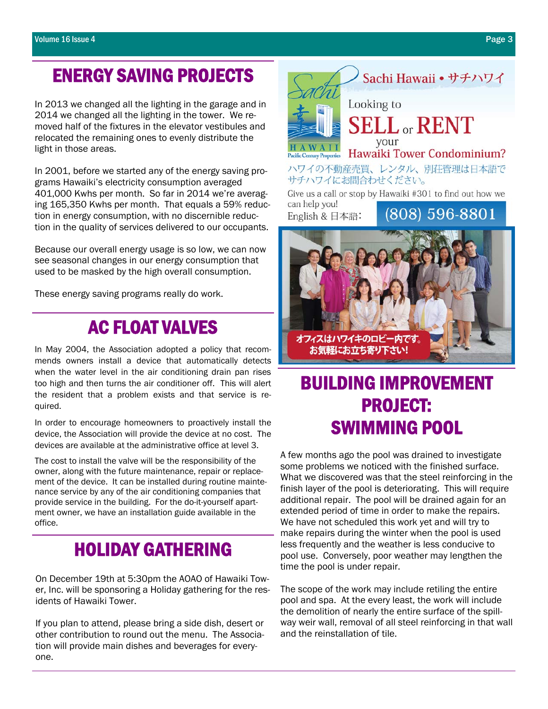# ENERGY SAVING PROJECTS

In 2013 we changed all the lighting in the garage and in 2014 we changed all the lighting in the tower. We removed half of the fixtures in the elevator vestibules and relocated the remaining ones to evenly distribute the light in those areas.

In 2001, before we started any of the energy saving programs Hawaiki's electricity consumption averaged 401,000 Kwhs per month. So far in 2014 we're averaging 165,350 Kwhs per month. That equals a 59% reduction in energy consumption, with no discernible reduction in the quality of services delivered to our occupants.

Because our overall energy usage is so low, we can now see seasonal changes in our energy consumption that used to be masked by the high overall consumption.

These energy saving programs really do work.

# AC FLOAT VALVES

In May 2004, the Association adopted a policy that recommends owners install a device that automatically detects when the water level in the air conditioning drain pan rises too high and then turns the air conditioner off. This will alert the resident that a problem exists and that service is required.

In order to encourage homeowners to proactively install the device, the Association will provide the device at no cost. The devices are available at the administrative office at level 3.

The cost to install the valve will be the responsibility of the owner, along with the future maintenance, repair or replacement of the device. It can be installed during routine maintenance service by any of the air conditioning companies that provide service in the building. For the do-it-yourself apartment owner, we have an installation guide available in the office.

# HOLIDAY GATHERING

On December 19th at 5:30pm the AOAO of Hawaiki Tower, Inc. will be sponsoring a Holiday gathering for the residents of Hawaiki Tower.

If you plan to attend, please bring a side dish, desert or other contribution to round out the menu. The Association will provide main dishes and beverages for everyone.



BUILDING IMPROVEMENT PROJECT: SWIMMING POOL

オフィスはハワイキのロビー

お気軽にお立ち寄り下さい!

A few months ago the pool was drained to investigate some problems we noticed with the finished surface. What we discovered was that the steel reinforcing in the finish layer of the pool is deteriorating. This will require additional repair. The pool will be drained again for an extended period of time in order to make the repairs. We have not scheduled this work yet and will try to make repairs during the winter when the pool is used less frequently and the weather is less conducive to pool use. Conversely, poor weather may lengthen the time the pool is under repair.

The scope of the work may include retiling the entire pool and spa. At the every least, the work will include the demolition of nearly the entire surface of the spillway weir wall, removal of all steel reinforcing in that wall and the reinstallation of tile.